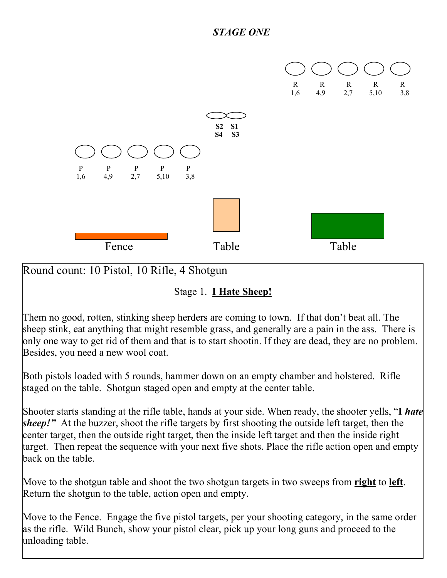

Round count: 10 Pistol, 10 Rifle, 4 Shotgun

Stage 1. **I Hate Sheep!**

Them no good, rotten, stinking sheep herders are coming to town. If that don't beat all. The sheep stink, eat anything that might resemble grass, and generally are a pain in the ass. There is only one way to get rid of them and that is to start shootin. If they are dead, they are no problem. Besides, you need a new wool coat.

Both pistols loaded with 5 rounds, hammer down on an empty chamber and holstered. Rifle staged on the table. Shotgun staged open and empty at the center table.

Shooter starts standing at the rifle table, hands at your side. When ready, the shooter yells, "**I** *hate sheep!*" At the buzzer, shoot the rifle targets by first shooting the outside left target, then the center target, then the outside right target, then the inside left target and then the inside right target. Then repeat the sequence with your next five shots. Place the rifle action open and empty back on the table.

Move to the shotgun table and shoot the two shotgun targets in two sweeps from **right** to **left**. Return the shotgun to the table, action open and empty.

Move to the Fence. Engage the five pistol targets, per your shooting category, in the same order as the rifle. Wild Bunch, show your pistol clear, pick up your long guns and proceed to the unloading table.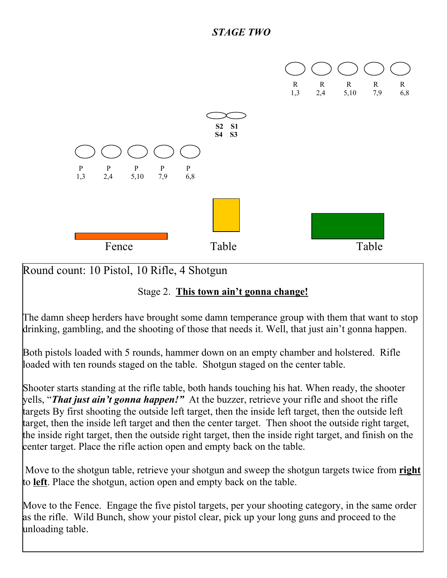

Round count: 10 Pistol, 10 Rifle, 4 Shotgun

## Stage 2. **This town ain't gonna change!**

The damn sheep herders have brought some damn temperance group with them that want to stop drinking, gambling, and the shooting of those that needs it. Well, that just ain't gonna happen.

Both pistols loaded with 5 rounds, hammer down on an empty chamber and holstered. Rifle loaded with ten rounds staged on the table. Shotgun staged on the center table.

Shooter starts standing at the rifle table, both hands touching his hat. When ready, the shooter yells, "*That just ain't gonna happen!"* At the buzzer, retrieve your rifle and shoot the rifle targets By first shooting the outside left target, then the inside left target, then the outside left target, then the inside left target and then the center target. Then shoot the outside right target, the inside right target, then the outside right target, then the inside right target, and finish on the center target. Place the rifle action open and empty back on the table.

Move to the shotgun table, retrieve your shotgun and sweep the shotgun targets twice from **right** to **left**. Place the shotgun, action open and empty back on the table.

Move to the Fence. Engage the five pistol targets, per your shooting category, in the same order as the rifle. Wild Bunch, show your pistol clear, pick up your long guns and proceed to the unloading table.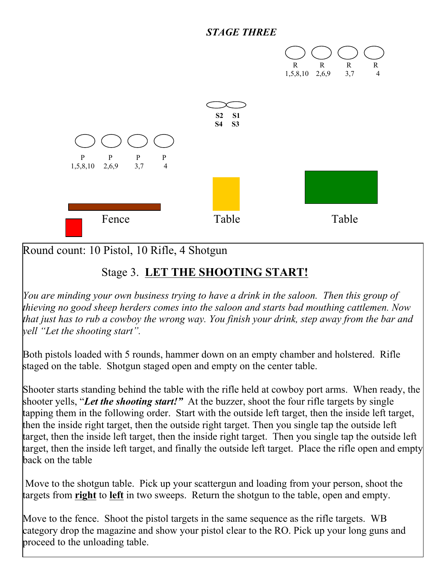## *STAGE THREE*



Round count: 10 Pistol, 10 Rifle, 4 Shotgun

## Stage 3. **LET THE SHOOTING START!**

*You are minding your own business trying to have a drink in the saloon. Then this group of thieving no good sheep herders comes into the saloon and starts bad mouthing cattlemen. Now that just has to rub a cowboy the wrong way. You finish your drink, step away from the bar and yell "Let the shooting start".* 

Both pistols loaded with 5 rounds, hammer down on an empty chamber and holstered. Rifle staged on the table. Shotgun staged open and empty on the center table.

Shooter starts standing behind the table with the rifle held at cowboy port arms. When ready, the shooter yells, "*Let the shooting start!"* At the buzzer, shoot the four rifle targets by single tapping them in the following order. Start with the outside left target, then the inside left target, then the inside right target, then the outside right target. Then you single tap the outside left target, then the inside left target, then the inside right target. Then you single tap the outside left target, then the inside left target, and finally the outside left target. Place the rifle open and empty back on the table

 Move to the shotgun table. Pick up your scattergun and loading from your person, shoot the targets from **right** to **left** in two sweeps. Return the shotgun to the table, open and empty.

Move to the fence. Shoot the pistol targets in the same sequence as the rifle targets. WB category drop the magazine and show your pistol clear to the RO. Pick up your long guns and proceed to the unloading table.